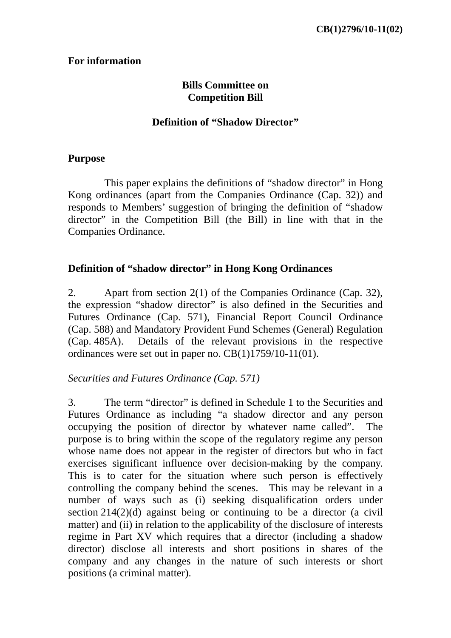#### **For information**

# **Bills Committee on Competition Bill**

#### **Definition of "Shadow Director"**

#### **Purpose**

 This paper explains the definitions of "shadow director" in Hong Kong ordinances (apart from the Companies Ordinance (Cap. 32)) and responds to Members' suggestion of bringing the definition of "shadow director" in the Competition Bill (the Bill) in line with that in the Companies Ordinance.

#### **Definition of "shadow director" in Hong Kong Ordinances**

2. Apart from section 2(1) of the Companies Ordinance (Cap. 32), the expression "shadow director" is also defined in the Securities and Futures Ordinance (Cap. 571), Financial Report Council Ordinance (Cap. 588) and Mandatory Provident Fund Schemes (General) Regulation (Cap. 485A). Details of the relevant provisions in the respective ordinances were set out in paper no. CB(1)1759/10-11(01).

# *Securities and Futures Ordinance (Cap. 571)*

3. The term "director" is defined in Schedule 1 to the Securities and Futures Ordinance as including "a shadow director and any person occupying the position of director by whatever name called". The purpose is to bring within the scope of the regulatory regime any person whose name does not appear in the register of directors but who in fact exercises significant influence over decision-making by the company. This is to cater for the situation where such person is effectively controlling the company behind the scenes. This may be relevant in a number of ways such as (i) seeking disqualification orders under section 214(2)(d) against being or continuing to be a director (a civil matter) and (ii) in relation to the applicability of the disclosure of interests regime in Part XV which requires that a director (including a shadow director) disclose all interests and short positions in shares of the company and any changes in the nature of such interests or short positions (a criminal matter).